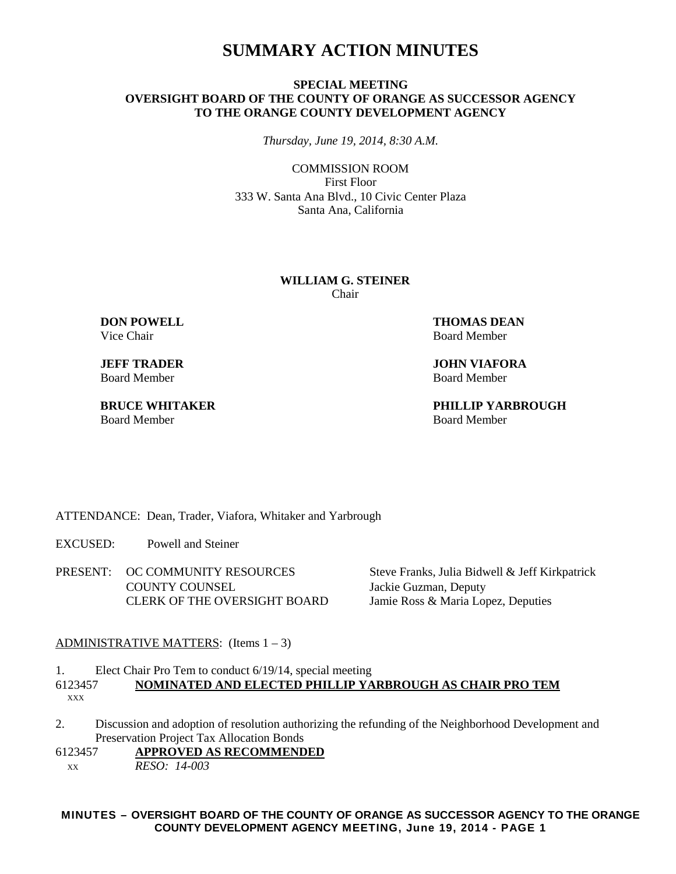# **SUMMARY ACTION MINUTES**

### **SPECIAL MEETING OVERSIGHT BOARD OF THE COUNTY OF ORANGE AS SUCCESSOR AGENCY TO THE ORANGE COUNTY DEVELOPMENT AGENCY**

*Thursday, June 19, 2014, 8:30 A.M.*

COMMISSION ROOM First Floor 333 W. Santa Ana Blvd., 10 Civic Center Plaza Santa Ana, California

#### **WILLIAM G. STEINER** Chair

Vice Chair **Board Member** Board Member

**Board Member** 

Board Member **Board Member** Board Member

**DON POWELL THOMAS DEAN** 

**JEFF TRADER JOHN VIAFORA**<br>Board Member **Board Member** 

**BRUCE WHITAKER PHILLIP YARBROUGH**

ATTENDANCE: Dean, Trader, Viafora, Whitaker and Yarbrough

EXCUSED: Powell and Steiner

PRESENT: OC COMMUNITY RESOURCES Steve Franks, Julia Bidwell & Jeff Kirkpatrick COUNTY COUNSEL Jackie Guzman, Deputy CLERK OF THE OVERSIGHT BOARD Jamie Ross & Maria Lopez, Deputies

#### ADMINISTRATIVE MATTERS: (Items 1 – 3)

1. Elect Chair Pro Tem to conduct 6/19/14, special meeting 6123457 **NOMINATED AND ELECTED PHILLIP YARBROUGH AS CHAIR PRO TEM**XXX

- 2. Discussion and adoption of resolution authorizing the refunding of the Neighborhood Development and Preservation Project Tax Allocation Bonds
- 6123457 **APPROVED AS RECOMMENDED** XX *RESO: 14-003*

**MINUTES – OVERSIGHT BOARD OF THE COUNTY OF ORANGE AS SUCCESSOR AGENCY TO THE ORANGE COUNTY DEVELOPMENT AGENCY MEETING, June 19, 2014 - PAGE 1**